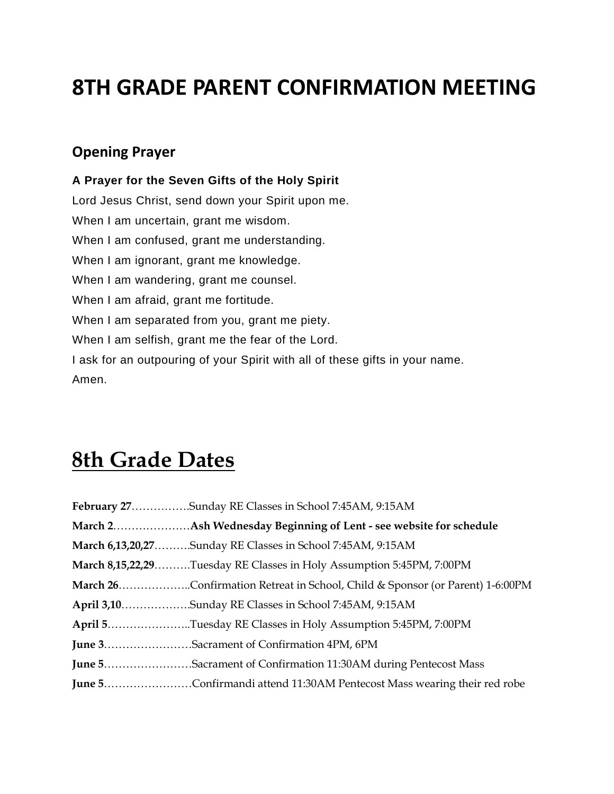# **8TH GRADE PARENT CONFIRMATION MEETING**

#### **Opening Prayer**

**A Prayer for the Seven Gifts of the Holy Spirit** Lord Jesus Christ, send down your Spirit upon me. When I am uncertain, grant me wisdom. When I am confused, grant me understanding. When I am ignorant, grant me knowledge. When I am wandering, grant me counsel. When I am afraid, grant me fortitude. When I am separated from you, grant me piety. When I am selfish, grant me the fear of the Lord. I ask for an outpouring of your Spirit with all of these gifts in your name. Amen.

# **8th Grade Dates**

| February 27Sunday RE Classes in School 7:45AM, 9:15AM                         |
|-------------------------------------------------------------------------------|
|                                                                               |
| March 6,13,20,27Sunday RE Classes in School 7:45AM, 9:15AM                    |
| March 8,15,22,29Tuesday RE Classes in Holy Assumption 5:45PM, 7:00PM          |
| March 26Confirmation Retreat in School, Child & Sponsor (or Parent) 1-6:00PM  |
| April 3,10Sunday RE Classes in School 7:45AM, 9:15AM                          |
| April 5Tuesday RE Classes in Holy Assumption 5:45PM, 7:00PM                   |
| June 3. Sacrament of Confirmation 4PM, 6PM                                    |
| <b>June 5Sacrament of Confirmation 11:30AM during Pentecost Mass</b>          |
| <b>June 5Confirmandi attend 11:30AM Pentecost Mass wearing their red robe</b> |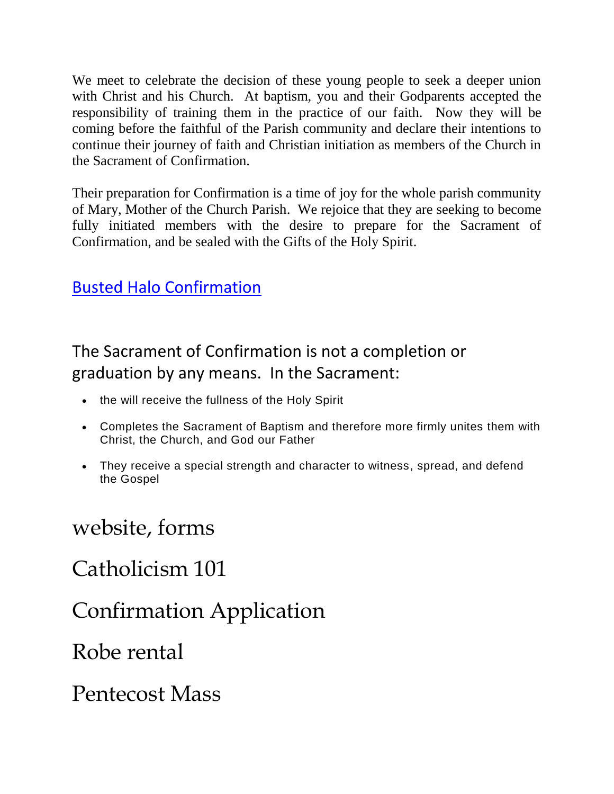We meet to celebrate the decision of these young people to seek a deeper union with Christ and his Church. At baptism, you and their Godparents accepted the responsibility of training them in the practice of our faith. Now they will be coming before the faithful of the Parish community and declare their intentions to continue their journey of faith and Christian initiation as members of the Church in the Sacrament of Confirmation.

Their preparation for Confirmation is a time of joy for the whole parish community of Mary, Mother of the Church Parish. We rejoice that they are seeking to become fully initiated members with the desire to prepare for the Sacrament of Confirmation, and be sealed with the Gifts of the Holy Spirit.

#### Busted Halo Confirmation

### The Sacrament of Confirmation is not a completion or graduation by any means. In the Sacrament:

- the will receive the fullness of the Holy Spirit
- Completes the Sacrament of Baptism and therefore more firmly unites them with Christ, the Church, and God our Father
- They receive a special strength and character to witness, spread, and defend the Gospel

### website, forms

# Catholicism 101

Confirmation Application

### Robe rental

Pentecost Mass